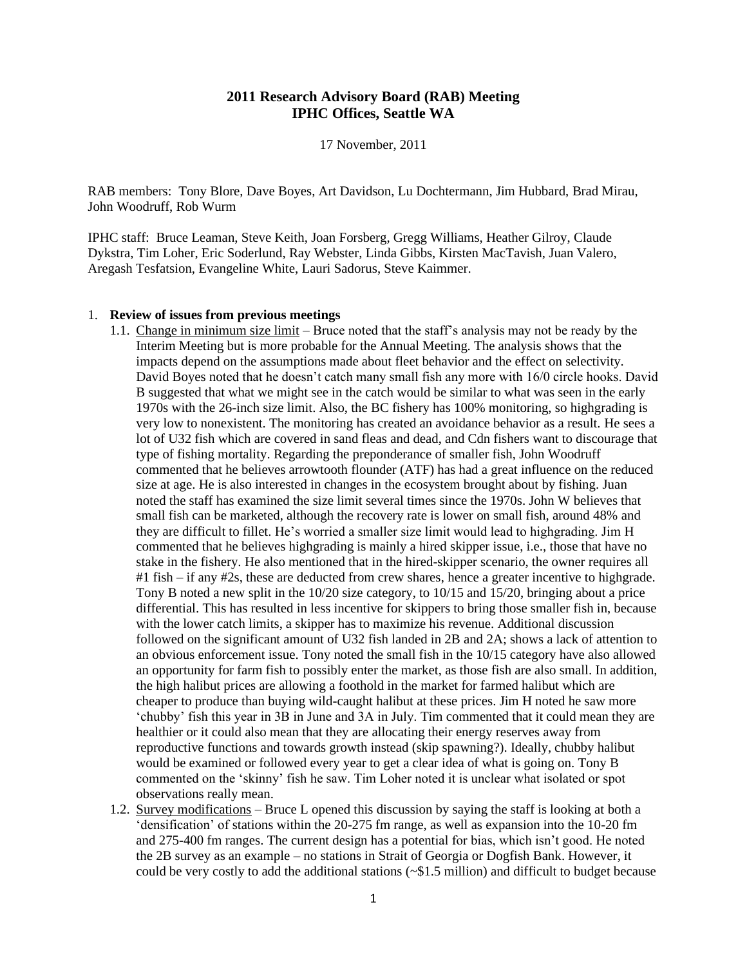## **2011 Research Advisory Board (RAB) Meeting IPHC Offices, Seattle WA**

17 November, 2011

RAB members: Tony Blore, Dave Boyes, Art Davidson, Lu Dochtermann, Jim Hubbard, Brad Mirau, John Woodruff, Rob Wurm

IPHC staff: Bruce Leaman, Steve Keith, Joan Forsberg, Gregg Williams, Heather Gilroy, Claude Dykstra, Tim Loher, Eric Soderlund, Ray Webster, Linda Gibbs, Kirsten MacTavish, Juan Valero, Aregash Tesfatsion, Evangeline White, Lauri Sadorus, Steve Kaimmer.

#### 1. **Review of issues from previous meetings**

- 1.1. Change in minimum size limit Bruce noted that the staff's analysis may not be ready by the Interim Meeting but is more probable for the Annual Meeting. The analysis shows that the impacts depend on the assumptions made about fleet behavior and the effect on selectivity. David Boyes noted that he doesn't catch many small fish any more with 16/0 circle hooks. David B suggested that what we might see in the catch would be similar to what was seen in the early 1970s with the 26-inch size limit. Also, the BC fishery has 100% monitoring, so highgrading is very low to nonexistent. The monitoring has created an avoidance behavior as a result. He sees a lot of U32 fish which are covered in sand fleas and dead, and Cdn fishers want to discourage that type of fishing mortality. Regarding the preponderance of smaller fish, John Woodruff commented that he believes arrowtooth flounder (ATF) has had a great influence on the reduced size at age. He is also interested in changes in the ecosystem brought about by fishing. Juan noted the staff has examined the size limit several times since the 1970s. John W believes that small fish can be marketed, although the recovery rate is lower on small fish, around 48% and they are difficult to fillet. He's worried a smaller size limit would lead to highgrading. Jim H commented that he believes highgrading is mainly a hired skipper issue, i.e., those that have no stake in the fishery. He also mentioned that in the hired-skipper scenario, the owner requires all #1 fish – if any #2s, these are deducted from crew shares, hence a greater incentive to highgrade. Tony B noted a new split in the 10/20 size category, to 10/15 and 15/20, bringing about a price differential. This has resulted in less incentive for skippers to bring those smaller fish in, because with the lower catch limits, a skipper has to maximize his revenue. Additional discussion followed on the significant amount of U32 fish landed in 2B and 2A; shows a lack of attention to an obvious enforcement issue. Tony noted the small fish in the 10/15 category have also allowed an opportunity for farm fish to possibly enter the market, as those fish are also small. In addition, the high halibut prices are allowing a foothold in the market for farmed halibut which are cheaper to produce than buying wild-caught halibut at these prices. Jim H noted he saw more 'chubby' fish this year in 3B in June and 3A in July. Tim commented that it could mean they are healthier or it could also mean that they are allocating their energy reserves away from reproductive functions and towards growth instead (skip spawning?). Ideally, chubby halibut would be examined or followed every year to get a clear idea of what is going on. Tony B commented on the 'skinny' fish he saw. Tim Loher noted it is unclear what isolated or spot observations really mean.
- 1.2. Survey modifications Bruce L opened this discussion by saying the staff is looking at both a 'densification' of stations within the 20-275 fm range, as well as expansion into the 10-20 fm and 275-400 fm ranges. The current design has a potential for bias, which isn't good. He noted the 2B survey as an example – no stations in Strait of Georgia or Dogfish Bank. However, it could be very costly to add the additional stations  $({\sim} $1.5$  million) and difficult to budget because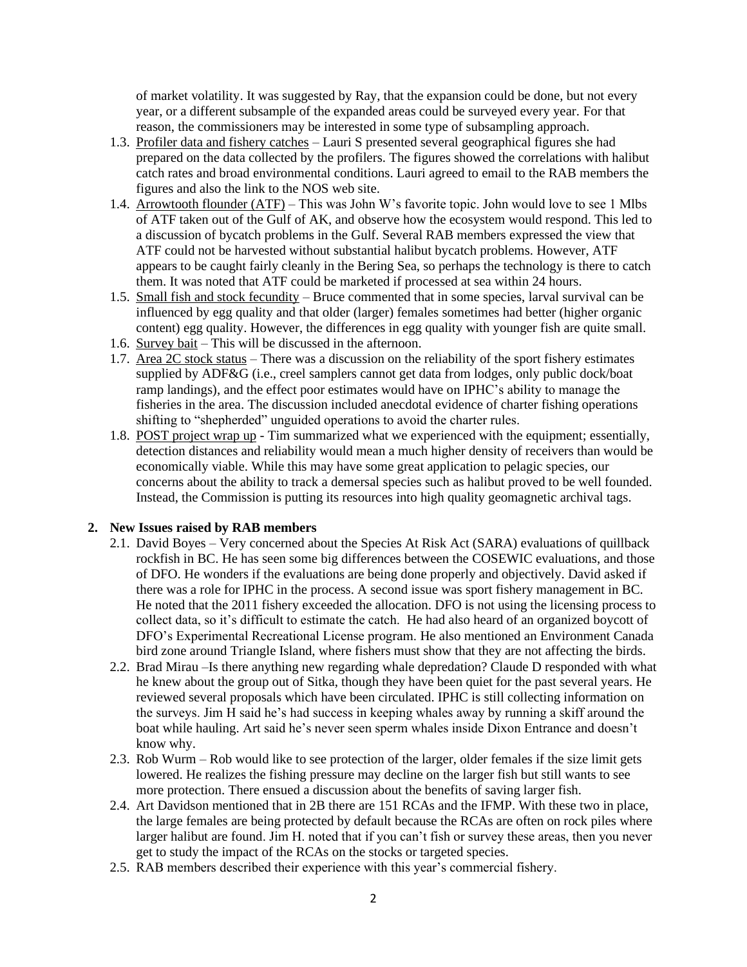of market volatility. It was suggested by Ray, that the expansion could be done, but not every year, or a different subsample of the expanded areas could be surveyed every year. For that reason, the commissioners may be interested in some type of subsampling approach.

- 1.3. Profiler data and fishery catches Lauri S presented several geographical figures she had prepared on the data collected by the profilers. The figures showed the correlations with halibut catch rates and broad environmental conditions. Lauri agreed to email to the RAB members the figures and also the link to the NOS web site.
- 1.4. Arrowtooth flounder (ATF) This was John W's favorite topic. John would love to see 1 Mlbs of ATF taken out of the Gulf of AK, and observe how the ecosystem would respond. This led to a discussion of bycatch problems in the Gulf. Several RAB members expressed the view that ATF could not be harvested without substantial halibut bycatch problems. However, ATF appears to be caught fairly cleanly in the Bering Sea, so perhaps the technology is there to catch them. It was noted that ATF could be marketed if processed at sea within 24 hours.
- 1.5. Small fish and stock fecundity Bruce commented that in some species, larval survival can be influenced by egg quality and that older (larger) females sometimes had better (higher organic content) egg quality. However, the differences in egg quality with younger fish are quite small.
- 1.6. Survey bait This will be discussed in the afternoon.
- 1.7. Area 2C stock status There was a discussion on the reliability of the sport fishery estimates supplied by ADF&G (i.e., creel samplers cannot get data from lodges, only public dock/boat ramp landings), and the effect poor estimates would have on IPHC's ability to manage the fisheries in the area. The discussion included anecdotal evidence of charter fishing operations shifting to "shepherded" unguided operations to avoid the charter rules.
- 1.8. POST project wrap up Tim summarized what we experienced with the equipment; essentially, detection distances and reliability would mean a much higher density of receivers than would be economically viable. While this may have some great application to pelagic species, our concerns about the ability to track a demersal species such as halibut proved to be well founded. Instead, the Commission is putting its resources into high quality geomagnetic archival tags.

## **2. New Issues raised by RAB members**

- 2.1. David Boyes Very concerned about the Species At Risk Act (SARA) evaluations of quillback rockfish in BC. He has seen some big differences between the COSEWIC evaluations, and those of DFO. He wonders if the evaluations are being done properly and objectively. David asked if there was a role for IPHC in the process. A second issue was sport fishery management in BC. He noted that the 2011 fishery exceeded the allocation. DFO is not using the licensing process to collect data, so it's difficult to estimate the catch. He had also heard of an organized boycott of DFO's Experimental Recreational License program. He also mentioned an Environment Canada bird zone around Triangle Island, where fishers must show that they are not affecting the birds.
- 2.2. Brad Mirau –Is there anything new regarding whale depredation? Claude D responded with what he knew about the group out of Sitka, though they have been quiet for the past several years. He reviewed several proposals which have been circulated. IPHC is still collecting information on the surveys. Jim  $\hat{H}$  said he's had success in keeping whales away by running a skiff around the boat while hauling. Art said he's never seen sperm whales inside Dixon Entrance and doesn't know why.
- 2.3. Rob Wurm Rob would like to see protection of the larger, older females if the size limit gets lowered. He realizes the fishing pressure may decline on the larger fish but still wants to see more protection. There ensued a discussion about the benefits of saving larger fish.
- 2.4. Art Davidson mentioned that in 2B there are 151 RCAs and the IFMP. With these two in place, the large females are being protected by default because the RCAs are often on rock piles where larger halibut are found. Jim H. noted that if you can't fish or survey these areas, then you never get to study the impact of the RCAs on the stocks or targeted species.
- 2.5. RAB members described their experience with this year's commercial fishery.